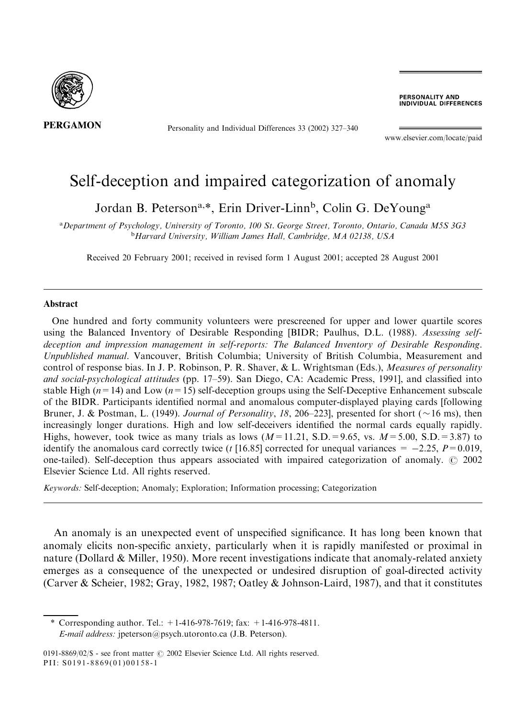

Personality and Individual Differences 33 (2002) 327–340

PERSONALITY AND **INDIVIDUAL DIFFERENCES** 

www.elsevier.com/locate/paid

## Self-deception and impaired categorization of anomaly

Jordan B. Peterson<sup>a,\*</sup>, Erin Driver-Linn<sup>b</sup>, Colin G. DeYoung<sup>a</sup>

a Department of Psychology, University of Toronto, 100 St. George Street, Toronto, Ontario, Canada M5S 3G3 <sup>b</sup>Harvard University, William James Hall, Cambridge, MA 02138, USA

Received 20 February 2001; received in revised form 1 August 2001; accepted 28 August 2001

## Abstract

One hundred and forty community volunteers were prescreened for upper and lower quartile scores using the Balanced Inventory of Desirable Responding [BIDR; Paulhus, D.L. (1988). Assessing selfdeception and impression management in self-reports: The Balanced Inventory of Desirable Responding. Unpublished manual. Vancouver, British Columbia; University of British Columbia, Measurement and control of response bias. In J. P. Robinson, P. R. Shaver, & L. Wrightsman (Eds.), Measures of personality and social-psychological attitudes (pp. 17–59). San Diego, CA: Academic Press, 1991], and classified into stable High  $(n=14)$  and Low  $(n=15)$  self-deception groups using the Self-Deceptive Enhancement subscale of the BIDR. Participants identified normal and anomalous computer-displayed playing cards [following Bruner, J. & Postman, L. (1949). Journal of Personality, 18, 206–223], presented for short ( $\sim$ 16 ms), then increasingly longer durations. High and low self-deceivers identified the normal cards equally rapidly. Highs, however, took twice as many trials as lows  $(M=11.21, S.D.=9.65, \text{ vs. } M=5.00, S.D.=3.87)$  to identify the anomalous card correctly twice (t [16.85] corrected for unequal variances =  $-2.25$ ,  $P = 0.019$ , one-tailed). Self-deception thus appears associated with impaired categorization of anomaly.  $\odot$  2002 Elsevier Science Ltd. All rights reserved.

Keywords: Self-deception; Anomaly; Exploration; Information processing; Categorization

An anomaly is an unexpected event of unspecified significance. It has long been known that anomaly elicits non-specific anxiety, particularly when it is rapidly manifested or proximal in nature (Dollard & Miller, 1950). More recent investigations indicate that anomaly-related anxiety emerges as a consequence of the unexpected or undesired disruption of goal-directed activity (Carver & Scheier, 1982; Gray, 1982, 1987; Oatley & Johnson-Laird, 1987), and that it constitutes

\* Corresponding author. Tel.:  $+1-416-978-7619$ ; fax:  $+1-416-978-4811$ . E-mail address: jpeterson@psych.utoronto.ca (J.B. Peterson).

<sup>0191-8869/02/\$ -</sup> see front matter  $\odot$  2002 Elsevier Science Ltd. All rights reserved. PII: S0191-8869(01)00158-1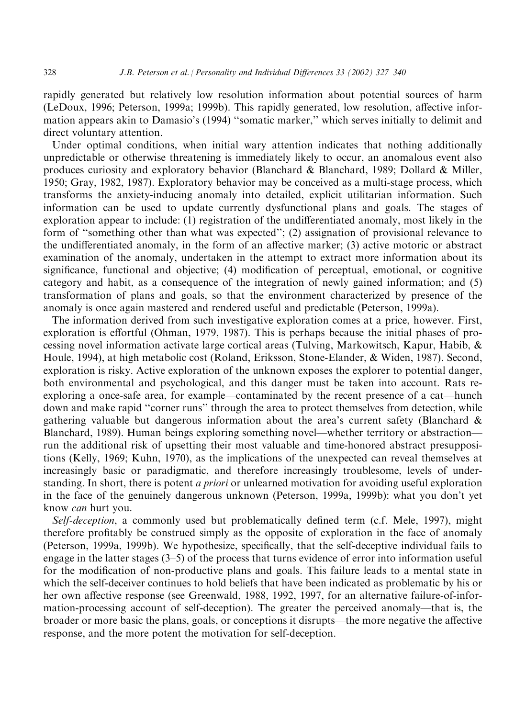rapidly generated but relatively low resolution information about potential sources of harm (LeDoux, 1996; Peterson, 1999a; 1999b). This rapidly generated, low resolution, affective information appears akin to Damasio's (1994) ''somatic marker,'' which serves initially to delimit and direct voluntary attention.

Under optimal conditions, when initial wary attention indicates that nothing additionally unpredictable or otherwise threatening is immediately likely to occur, an anomalous event also produces curiosity and exploratory behavior (Blanchard & Blanchard, 1989; Dollard & Miller, 1950; Gray, 1982, 1987). Exploratory behavior may be conceived as a multi-stage process, which transforms the anxiety-inducing anomaly into detailed, explicit utilitarian information. Such information can be used to update currently dysfunctional plans and goals. The stages of exploration appear to include: (1) registration of the undifferentiated anomaly, most likely in the form of ''something other than what was expected''; (2) assignation of provisional relevance to the undifferentiated anomaly, in the form of an affective marker; (3) active motoric or abstract examination of the anomaly, undertaken in the attempt to extract more information about its significance, functional and objective; (4) modification of perceptual, emotional, or cognitive category and habit, as a consequence of the integration of newly gained information; and (5) transformation of plans and goals, so that the environment characterized by presence of the anomaly is once again mastered and rendered useful and predictable (Peterson, 1999a).

The information derived from such investigative exploration comes at a price, however. First, exploration is effortful (Ohman, 1979, 1987). This is perhaps because the initial phases of processing novel information activate large cortical areas (Tulving, Markowitsch, Kapur, Habib, & Houle, 1994), at high metabolic cost (Roland, Eriksson, Stone-Elander, & Widen, 1987). Second, exploration is risky. Active exploration of the unknown exposes the explorer to potential danger, both environmental and psychological, and this danger must be taken into account. Rats reexploring a once-safe area, for example—contaminated by the recent presence of a cat—hunch down and make rapid ''corner runs'' through the area to protect themselves from detection, while gathering valuable but dangerous information about the area's current safety (Blanchard  $\&$ Blanchard, 1989). Human beings exploring something novel—whether territory or abstraction run the additional risk of upsetting their most valuable and time-honored abstract presuppositions (Kelly, 1969; Kuhn, 1970), as the implications of the unexpected can reveal themselves at increasingly basic or paradigmatic, and therefore increasingly troublesome, levels of understanding. In short, there is potent *a priori* or unlearned motivation for avoiding useful exploration in the face of the genuinely dangerous unknown (Peterson, 1999a, 1999b): what you don't yet know can hurt you.

Self-deception, a commonly used but problematically defined term (c.f. Mele, 1997), might therefore profitably be construed simply as the opposite of exploration in the face of anomaly (Peterson, 1999a, 1999b). We hypothesize, specifically, that the self-deceptive individual fails to engage in the latter stages (3–5) of the process that turns evidence of error into information useful for the modification of non-productive plans and goals. This failure leads to a mental state in which the self-deceiver continues to hold beliefs that have been indicated as problematic by his or her own affective response (see Greenwald, 1988, 1992, 1997, for an alternative failure-of-information-processing account of self-deception). The greater the perceived anomaly—that is, the broader or more basic the plans, goals, or conceptions it disrupts—the more negative the affective response, and the more potent the motivation for self-deception.